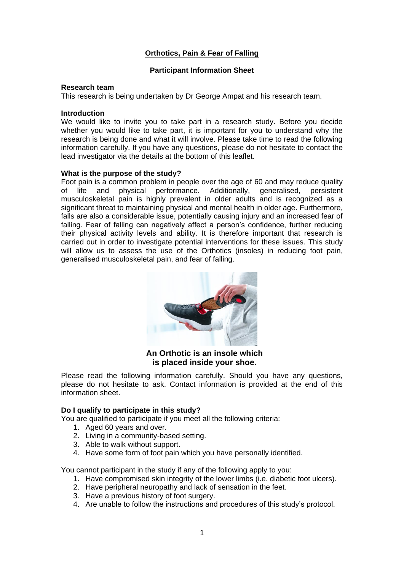# **Orthotics, Pain & Fear of Falling**

# **Participant Information Sheet**

## **Research team**

This research is being undertaken by Dr George Ampat and his research team.

## **Introduction**

We would like to invite you to take part in a research study. Before you decide whether you would like to take part, it is important for you to understand why the research is being done and what it will involve. Please take time to read the following information carefully. If you have any questions, please do not hesitate to contact the lead investigator via the details at the bottom of this leaflet.

## **What is the purpose of the study?**

Foot pain is a common problem in people over the age of 60 and may reduce quality of life and physical performance. Additionally, generalised, persistent musculoskeletal pain is highly prevalent in older adults and is recognized as a significant threat to maintaining physical and mental health in older age. Furthermore, falls are also a considerable issue, potentially causing injury and an increased fear of falling. Fear of falling can negatively affect a person's confidence, further reducing their physical activity levels and ability. It is therefore important that research is carried out in order to investigate potential interventions for these issues. This study will allow us to assess the use of the Orthotics (insoles) in reducing foot pain, generalised musculoskeletal pain, and fear of falling.



**An Orthotic is an insole which is placed inside your shoe.**

Please read the following information carefully. Should you have any questions, please do not hesitate to ask. Contact information is provided at the end of this information sheet.

## **Do I qualify to participate in this study?**

You are qualified to participate if you meet all the following criteria:

- 1. Aged 60 years and over.
- 2. Living in a community-based setting.
- 3. Able to walk without support.
- 4. Have some form of foot pain which you have personally identified.

You cannot participant in the study if any of the following apply to you:

- 1. Have compromised skin integrity of the lower limbs (i.e. diabetic foot ulcers).
- 2. Have peripheral neuropathy and lack of sensation in the feet.
- 3. Have a previous history of foot surgery.
- 4. Are unable to follow the instructions and procedures of this study's protocol.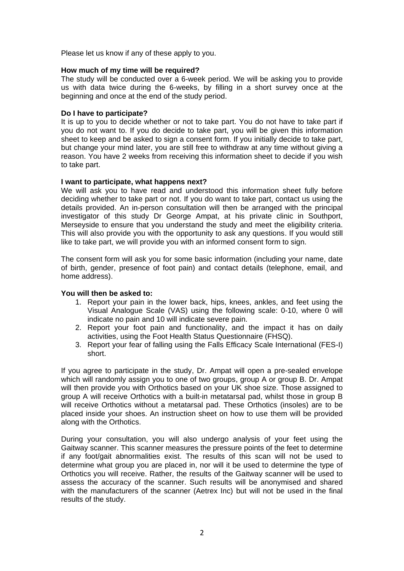Please let us know if any of these apply to you.

# **How much of my time will be required?**

The study will be conducted over a 6-week period. We will be asking you to provide us with data twice during the 6-weeks, by filling in a short survey once at the beginning and once at the end of the study period.

# **Do I have to participate?**

It is up to you to decide whether or not to take part. You do not have to take part if you do not want to. If you do decide to take part, you will be given this information sheet to keep and be asked to sign a consent form. If you initially decide to take part, but change your mind later, you are still free to withdraw at any time without giving a reason. You have 2 weeks from receiving this information sheet to decide if you wish to take part.

## **I want to participate, what happens next?**

We will ask you to have read and understood this information sheet fully before deciding whether to take part or not. If you do want to take part, contact us using the details provided. An in-person consultation will then be arranged with the principal investigator of this study Dr George Ampat, at his private clinic in Southport, Merseyside to ensure that you understand the study and meet the eligibility criteria. This will also provide you with the opportunity to ask any questions. If you would still like to take part, we will provide you with an informed consent form to sign.

The consent form will ask you for some basic information (including your name, date of birth, gender, presence of foot pain) and contact details (telephone, email, and home address).

## **You will then be asked to:**

- 1. Report your pain in the lower back, hips, knees, ankles, and feet using the Visual Analogue Scale (VAS) using the following scale: 0-10, where 0 will indicate no pain and 10 will indicate severe pain.
- 2. Report your foot pain and functionality, and the impact it has on daily activities, using the Foot Health Status Questionnaire (FHSQ).
- 3. Report your fear of falling using the Falls Efficacy Scale International (FES-I) short.

If you agree to participate in the study, Dr. Ampat will open a pre-sealed envelope which will randomly assign you to one of two groups, group A or group B. Dr. Ampat will then provide you with Orthotics based on your UK shoe size. Those assigned to group A will receive Orthotics with a built-in metatarsal pad, whilst those in group B will receive Orthotics without a metatarsal pad. These Orthotics (insoles) are to be placed inside your shoes. An instruction sheet on how to use them will be provided along with the Orthotics.

During your consultation, you will also undergo analysis of your feet using the Gaitway scanner. This scanner measures the pressure points of the feet to determine if any foot/gait abnormalities exist. The results of this scan will not be used to determine what group you are placed in, nor will it be used to determine the type of Orthotics you will receive. Rather, the results of the Gaitway scanner will be used to assess the accuracy of the scanner. Such results will be anonymised and shared with the manufacturers of the scanner (Aetrex Inc) but will not be used in the final results of the study.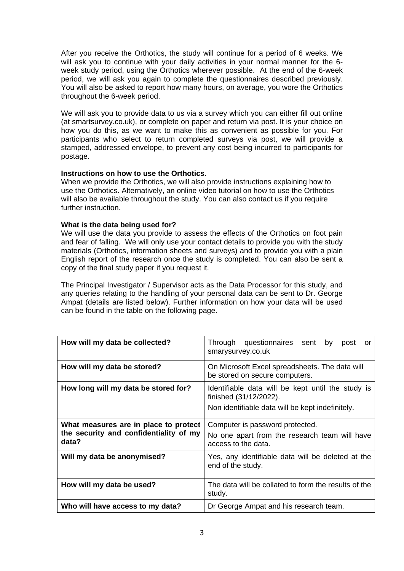After you receive the Orthotics, the study will continue for a period of 6 weeks. We will ask you to continue with your daily activities in your normal manner for the 6 week study period, using the Orthotics wherever possible. At the end of the 6-week period, we will ask you again to complete the questionnaires described previously. You will also be asked to report how many hours, on average, you wore the Orthotics throughout the 6-week period.

We will ask you to provide data to us via a survey which you can either fill out online (at smartsurvey.co.uk), or complete on paper and return via post. It is your choice on how you do this, as we want to make this as convenient as possible for you. For participants who select to return completed surveys via post, we will provide a stamped, addressed envelope, to prevent any cost being incurred to participants for postage.

## **Instructions on how to use the Orthotics.**

When we provide the Orthotics, we will also provide instructions explaining how to use the Orthotics. Alternatively, an online video tutorial on how to use the Orthotics will also be available throughout the study. You can also contact us if you require further instruction.

## **What is the data being used for?**

We will use the data you provide to assess the effects of the Orthotics on foot pain and fear of falling. We will only use your contact details to provide you with the study materials (Orthotics, information sheets and surveys) and to provide you with a plain English report of the research once the study is completed. You can also be sent a copy of the final study paper if you request it.

The Principal Investigator / Supervisor acts as the Data Processor for this study, and any queries relating to the handling of your personal data can be sent to Dr. George Ampat (details are listed below). Further information on how your data will be used can be found in the table on the following page.

| How will my data be collected?                                                           | Through questionnaires sent<br>by<br>post<br>or<br>smarysurvey.co.uk                                                            |
|------------------------------------------------------------------------------------------|---------------------------------------------------------------------------------------------------------------------------------|
| How will my data be stored?                                                              | On Microsoft Excel spreadsheets. The data will<br>be stored on secure computers.                                                |
| How long will my data be stored for?                                                     | Identifiable data will be kept until the study is<br>finished (31/12/2022).<br>Non identifiable data will be kept indefinitely. |
| What measures are in place to protect<br>the security and confidentiality of my<br>data? | Computer is password protected.<br>No one apart from the research team will have<br>access to the data.                         |
| Will my data be anonymised?                                                              | Yes, any identifiable data will be deleted at the<br>end of the study.                                                          |
| How will my data be used?                                                                | The data will be collated to form the results of the<br>study.                                                                  |
| Who will have access to my data?                                                         | Dr George Ampat and his research team.                                                                                          |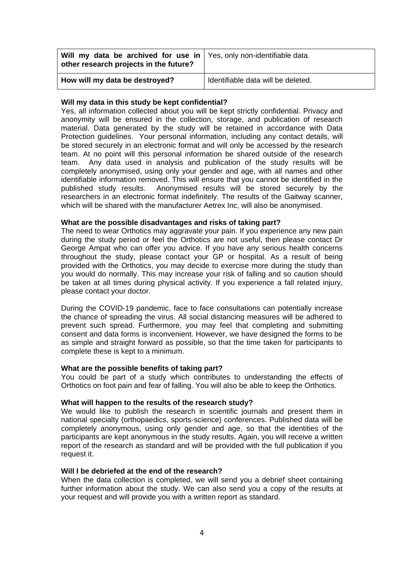| Will my data be archived for use in   Yes, only non-identifiable data.<br>other research projects in the future? |                                    |
|------------------------------------------------------------------------------------------------------------------|------------------------------------|
| How will my data be destroyed?                                                                                   | Identifiable data will be deleted. |

## **Will my data in this study be kept confidential?**

Yes, all information collected about you will be kept strictly confidential. Privacy and anonymity will be ensured in the collection, storage, and publication of research material. Data generated by the study will be retained in accordance with Data Protection guidelines. Your personal information, including any contact details, will be stored securely in an electronic format and will only be accessed by the research team. At no point will this personal information be shared outside of the research team. Any data used in analysis and publication of the study results will be completely anonymised, using only your gender and age, with all names and other identifiable information removed. This will ensure that you cannot be identified in the published study results. Anonymised results will be stored securely by the researchers in an electronic format indefinitely. The results of the Gaitway scanner, which will be shared with the manufacturer Aetrex Inc, will also be anonymised.

## **What are the possible disadvantages and risks of taking part?**

The need to wear Orthotics may aggravate your pain. If you experience any new pain during the study period or feel the Orthotics are not useful, then please contact Dr George Ampat who can offer you advice. If you have any serious health concerns throughout the study, please contact your GP or hospital. As a result of being provided with the Orthotics, you may decide to exercise more during the study than you would do normally. This may increase your risk of falling and so caution should be taken at all times during physical activity. If you experience a fall related injury, please contact your doctor.

During the COVID-19 pandemic, face to face consultations can potentially increase the chance of spreading the virus. All social distancing measures will be adhered to prevent such spread. Furthermore, you may feel that completing and submitting consent and data forms is inconvenient. However, we have designed the forms to be as simple and straight forward as possible, so that the time taken for participants to complete these is kept to a minimum.

# **What are the possible benefits of taking part?**

You could be part of a study which contributes to understanding the effects of Orthotics on foot pain and fear of falling. You will also be able to keep the Orthotics.

## **What will happen to the results of the research study?**

We would like to publish the research in scientific journals and present them in national specialty (orthopaedics, sports-science) conferences. Published data will be completely anonymous, using only gender and age, so that the identities of the participants are kept anonymous in the study results. Again, you will receive a written report of the research as standard and will be provided with the full publication if you request it.

## **Will I be debriefed at the end of the research?**

When the data collection is completed, we will send you a debrief sheet containing further information about the study. We can also send you a copy of the results at your request and will provide you with a written report as standard.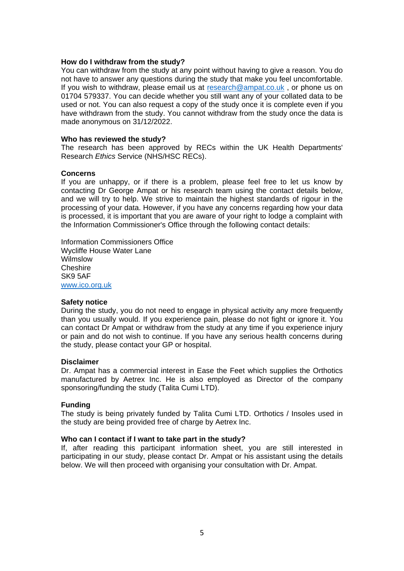## **How do I withdraw from the study?**

You can withdraw from the study at any point without having to give a reason. You do not have to answer any questions during the study that make you feel uncomfortable. If you wish to withdraw, please email us at [research@ampat.co.uk](mailto:research@ampat.co.uk) , or phone us on 01704 579337. You can decide whether you still want any of your collated data to be used or not. You can also request a copy of the study once it is complete even if you have withdrawn from the study. You cannot withdraw from the study once the data is made anonymous on 31/12/2022.

#### **Who has reviewed the study?**

The research has been approved by RECs within the UK Health Departments' Research *Ethics* Service (NHS/HSC RECs).

#### **Concerns**

If you are unhappy, or if there is a problem, please feel free to let us know by contacting Dr George Ampat or his research team using the contact details below, and we will try to help. We strive to maintain the highest standards of rigour in the processing of your data. However, if you have any concerns regarding how your data is processed, it is important that you are aware of your right to lodge a complaint with the Information Commissioner's Office through the following contact details:

Information Commissioners Office Wycliffe House Water Lane Wilmslow Cheshire SK9 5AF [www.ico.org.uk](http://www.ico.org.uk/)

#### **Safety notice**

During the study, you do not need to engage in physical activity any more frequently than you usually would. If you experience pain, please do not fight or ignore it. You can contact Dr Ampat or withdraw from the study at any time if you experience injury or pain and do not wish to continue. If you have any serious health concerns during the study, please contact your GP or hospital.

#### **Disclaimer**

Dr. Ampat has a commercial interest in Ease the Feet which supplies the Orthotics manufactured by Aetrex Inc. He is also employed as Director of the company sponsoring/funding the study (Talita Cumi LTD).

## **Funding**

The study is being privately funded by Talita Cumi LTD. Orthotics / Insoles used in the study are being provided free of charge by Aetrex Inc.

## **Who can I contact if I want to take part in the study?**

If, after reading this participant information sheet, you are still interested in participating in our study, please contact Dr. Ampat or his assistant using the details below. We will then proceed with organising your consultation with Dr. Ampat.